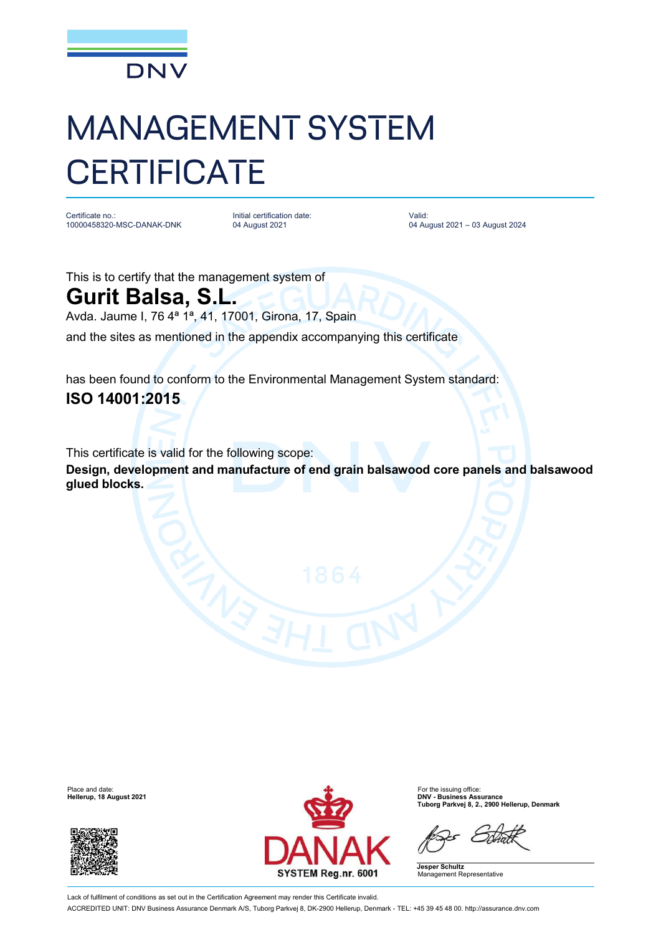

## MANAGEMENT SYSTEM **CERTIFICATE**

Certificate no.: 10000458320-MSC-DANAK-DNK

Initial certification date: 04 August 2021

Valid: 04 August 2021 – 03 August 2024

This is to certify that the management system of

## **Gurit Balsa, S.L.**

Avda. Jaume I, 76 4ª 1ª, 41, 17001, Girona, 17, Spain

and the sites as mentioned in the appendix accompanying this certificate

has been found to conform to the Environmental Management System standard: **ISO 14001:2015**

This certificate is valid for the following scope:

**Design, development and manufacture of end grain balsawood core panels and balsawood glued blocks.**

**Hellerup, 18 August 2021** 





**Tuborg Parkvej 8, 2., 2900 Hellerup, Denmark**

**Jesper Schultz** Management Representative

Lack of fulfilment of conditions as set out in the Certification Agreement may render this Certificate invalid. ACCREDITED UNIT: DNV Business Assurance Denmark A/S, Tuborg Parkvej 8, DK-2900 Hellerup, Denmark - TEL: +45 39 45 48 00. <http://assurance.dnv.com>